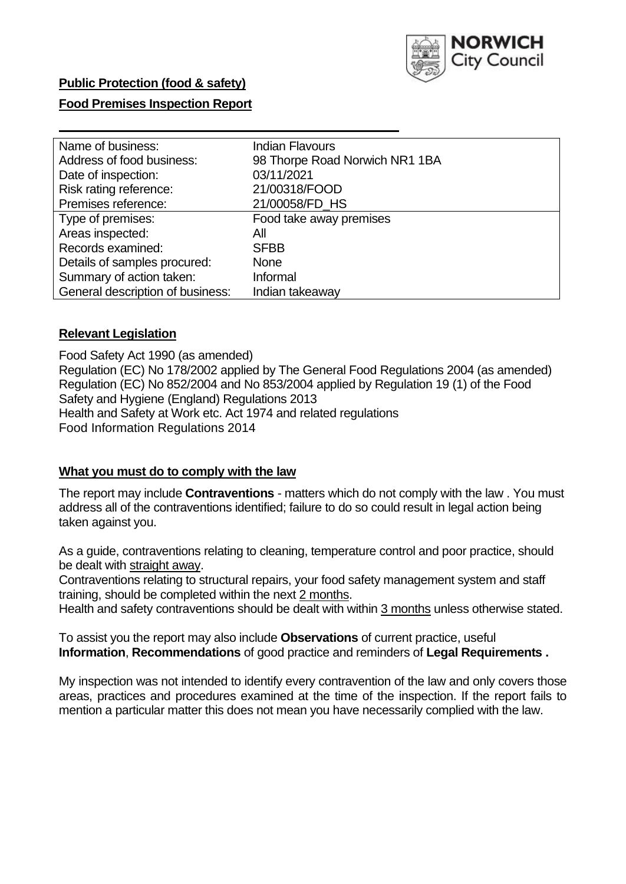

# **Public Protection (food & safety)**

### **Food Premises Inspection Report**

| Name of business:                | <b>Indian Flavours</b>         |
|----------------------------------|--------------------------------|
| Address of food business:        | 98 Thorpe Road Norwich NR1 1BA |
| Date of inspection:              | 03/11/2021                     |
| Risk rating reference:           | 21/00318/FOOD                  |
| Premises reference:              | 21/00058/FD HS                 |
| Type of premises:                | Food take away premises        |
| Areas inspected:                 | All                            |
| Records examined:                | <b>SFBB</b>                    |
| Details of samples procured:     | <b>None</b>                    |
| Summary of action taken:         | Informal                       |
| General description of business: | Indian takeaway                |

### **Relevant Legislation**

 Food Safety Act 1990 (as amended) Regulation (EC) No 178/2002 applied by The General Food Regulations 2004 (as amended) Regulation (EC) No 852/2004 and No 853/2004 applied by Regulation 19 (1) of the Food Safety and Hygiene (England) Regulations 2013 Health and Safety at Work etc. Act 1974 and related regulations Food Information Regulations 2014

### **What you must do to comply with the law**

 The report may include **Contraventions** - matters which do not comply with the law . You must address all of the contraventions identified; failure to do so could result in legal action being taken against you.

 As a guide, contraventions relating to cleaning, temperature control and poor practice, should be dealt with straight away.

 Contraventions relating to structural repairs, your food safety management system and staff training, should be completed within the next 2 months.

Health and safety contraventions should be dealt with within 3 months unless otherwise stated.

 To assist you the report may also include **Observations** of current practice, useful **Information**, **Recommendations** of good practice and reminders of **Legal Requirements .** 

 My inspection was not intended to identify every contravention of the law and only covers those areas, practices and procedures examined at the time of the inspection. If the report fails to mention a particular matter this does not mean you have necessarily complied with the law.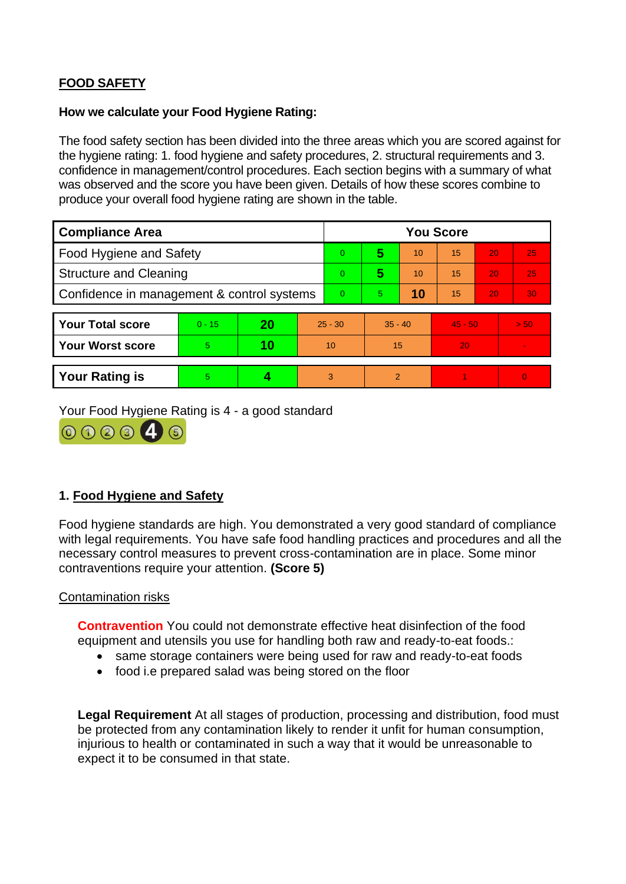# **FOOD SAFETY**

### **How we calculate your Food Hygiene Rating:**

 The food safety section has been divided into the three areas which you are scored against for the hygiene rating: 1. food hygiene and safety procedures, 2. structural requirements and 3. confidence in management/control procedures. Each section begins with a summary of what was observed and the score you have been given. Details of how these scores combine to produce your overall food hygiene rating are shown in the table.

| <b>Compliance Area</b>                     |          |    |                 | <b>You Score</b> |                |    |           |    |                |  |  |
|--------------------------------------------|----------|----|-----------------|------------------|----------------|----|-----------|----|----------------|--|--|
| Food Hygiene and Safety                    |          |    |                 | 0                | 5              | 10 | 15        | 20 | 25             |  |  |
| <b>Structure and Cleaning</b>              |          |    | $\Omega$        | 5                | 10             | 15 | 20        | 25 |                |  |  |
| Confidence in management & control systems |          |    | $\Omega$        | 5                | 10             | 15 | 20        | 30 |                |  |  |
|                                            |          |    |                 |                  |                |    |           |    |                |  |  |
| <b>Your Total score</b>                    | $0 - 15$ | 20 | $25 - 30$       |                  | $35 - 40$      |    | $45 - 50$ |    | > 50           |  |  |
| <b>Your Worst score</b>                    | 5        | 10 | 10 <sup>°</sup> |                  | 15             |    | 20        |    | $\blacksquare$ |  |  |
|                                            |          |    |                 |                  |                |    |           |    |                |  |  |
| <b>Your Rating is</b>                      | 5        |    |                 | 3                | $\overline{2}$ |    |           |    | $\Omega$       |  |  |

Your Food Hygiene Rating is 4 - a good standard



# **1. Food Hygiene and Safety**

 with legal requirements. You have safe food handling practices and procedures and all the Food hygiene standards are high. You demonstrated a very good standard of compliance necessary control measures to prevent cross-contamination are in place. Some minor contraventions require your attention. **(Score 5)** 

# Contamination risks

**Contravention** You could not demonstrate effective heat disinfection of the food equipment and utensils you use for handling both raw and ready-to-eat foods.:

- same storage containers were being used for raw and ready-to-eat foods
- food i.e prepared salad was being stored on the floor

 injurious to health or contaminated in such a way that it would be unreasonable to **Legal Requirement** At all stages of production, processing and distribution, food must be protected from any contamination likely to render it unfit for human consumption, expect it to be consumed in that state.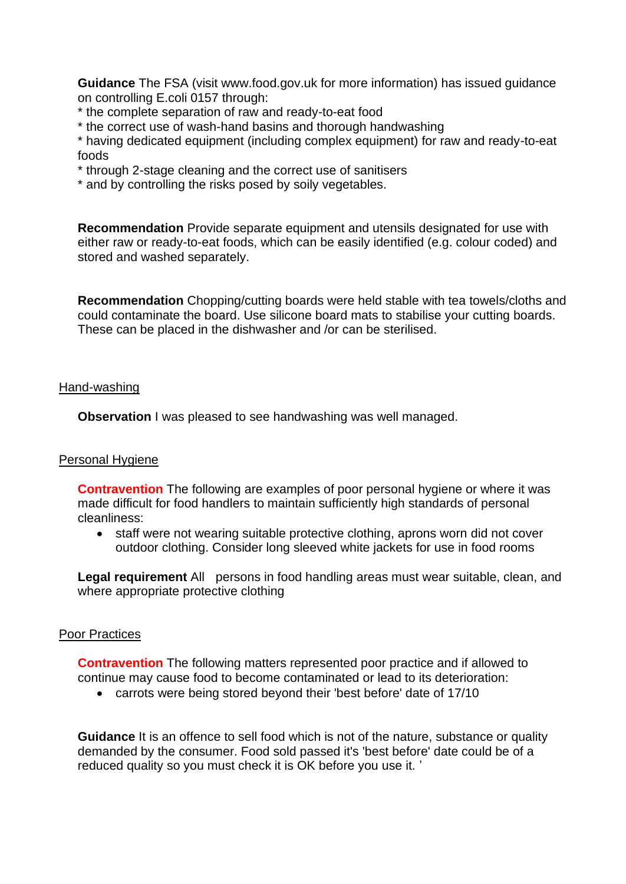**Guidance** The FSA (visit <www.food.gov.uk> for more information) has issued guidance on controlling E.coli 0157 through:

- \* the complete separation of raw and ready-to-eat food
- \* the correct use of wash-hand basins and thorough handwashing

\* having dedicated equipment (including complex equipment) for raw and ready-to-eat foods

- \* through 2-stage cleaning and the correct use of sanitisers
- \* and by controlling the risks posed by soily vegetables.

**Recommendation** Provide separate equipment and utensils designated for use with either raw or ready-to-eat foods, which can be easily identified (e.g. colour coded) and stored and washed separately.

 These can be placed in the dishwasher and /or can be sterilised. **Recommendation** Chopping/cutting boards were held stable with tea towels/cloths and could contaminate the board. Use silicone board mats to stabilise your cutting boards.

#### Hand-washing

**Observation** I was pleased to see handwashing was well managed.

#### Personal Hygiene

 made difficult for food handlers to maintain sufficiently high standards of personal **Contravention** The following are examples of poor personal hygiene or where it was cleanliness:

• staff were not wearing suitable protective clothing, aprons worn did not cover outdoor clothing. Consider long sleeved white jackets for use in food rooms

Legal requirement All persons in food handling areas must wear suitable, clean, and where appropriate protective clothing

#### Poor Practices

 **Contravention** The following matters represented poor practice and if allowed to continue may cause food to become contaminated or lead to its deterioration:

• carrots were being stored beyond their 'best before' date of 17/10

**Guidance** It is an offence to sell food which is not of the nature, substance or quality demanded by the consumer. Food sold passed it's 'best before' date could be of a reduced quality so you must check it is OK before you use it. '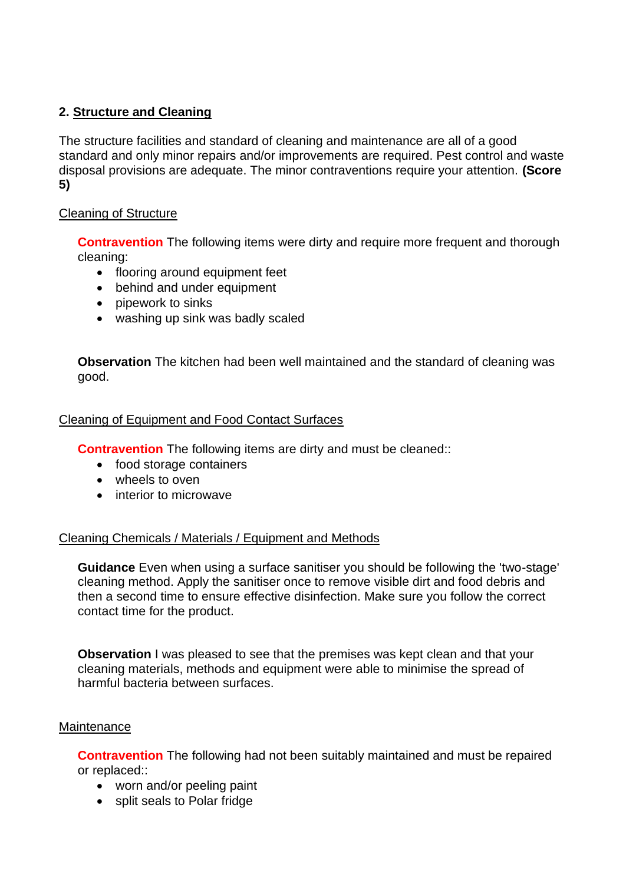# **2. Structure and Cleaning**

 The structure facilities and standard of cleaning and maintenance are all of a good standard and only minor repairs and/or improvements are required. Pest control and waste disposal provisions are adequate. The minor contraventions require your attention. **(Score 5)** 

# Cleaning of Structure

**Contravention** The following items were dirty and require more frequent and thorough cleaning:

- flooring around equipment feet
- behind and under equipment
- pipework to sinks
- washing up sink was badly scaled

 **Observation** The kitchen had been well maintained and the standard of cleaning was good.

### Cleaning of Equipment and Food Contact Surfaces

**Contravention** The following items are dirty and must be cleaned::

- food storage containers
- wheels to oven
- interior to microwave

# Cleaning Chemicals / Materials / Equipment and Methods

 **Guidance** Even when using a surface sanitiser you should be following the 'two-stage' cleaning method. Apply the sanitiser once to remove visible dirt and food debris and then a second time to ensure effective disinfection. Make sure you follow the correct contact time for the product.

**Observation** I was pleased to see that the premises was kept clean and that your cleaning materials, methods and equipment were able to minimise the spread of harmful bacteria between surfaces.

#### Maintenance

**Contravention** The following had not been suitably maintained and must be repaired or replaced::

- worn and/or peeling paint
- split seals to Polar fridge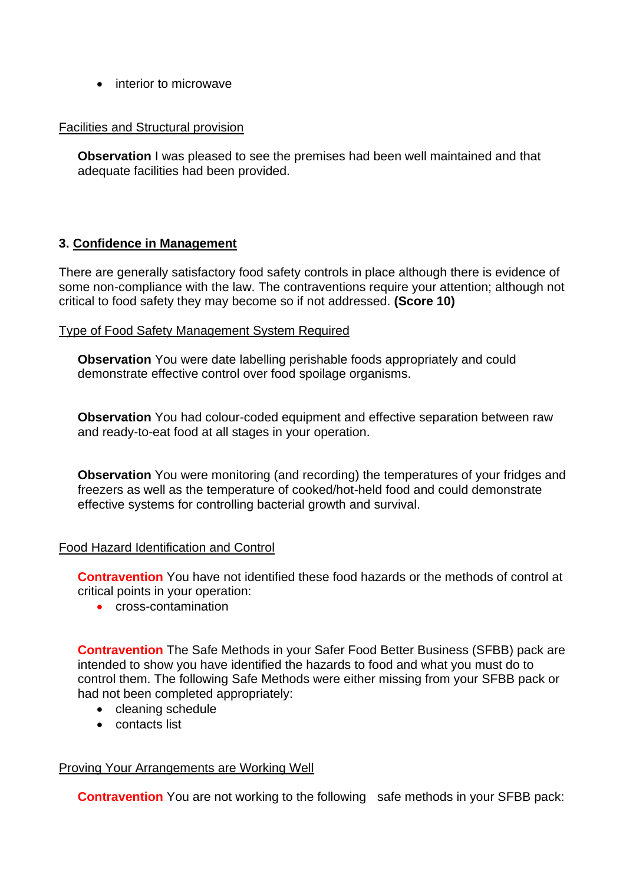• interior to microwave

# Facilities and Structural provision

 **Observation** I was pleased to see the premises had been well maintained and that adequate facilities had been provided.

# **3. Confidence in Management**

 There are generally satisfactory food safety controls in place although there is evidence of some non-compliance with the law. The contraventions require your attention; although not critical to food safety they may become so if not addressed. **(Score 10)** 

# Type of Food Safety Management System Required

 demonstrate effective control over food spoilage organisms. **Observation** You were date labelling perishable foods appropriately and could

**Observation** You had colour-coded equipment and effective separation between raw and ready-to-eat food at all stages in your operation.

**Observation** You were monitoring (and recording) the temperatures of your fridges and freezers as well as the temperature of cooked/hot-held food and could demonstrate effective systems for controlling bacterial growth and survival.

# Food Hazard Identification and Control

**Contravention** You have not identified these food hazards or the methods of control at critical points in your operation:

• cross-contamination

 intended to show you have identified the hazards to food and what you must do to **Contravention** The Safe Methods in your Safer Food Better Business (SFBB) pack are control them. The following Safe Methods were either missing from your SFBB pack or had not been completed appropriately:

- cleaning schedule
- contacts list

# Proving Your Arrangements are Working Well

**Contravention** You are not working to the following safe methods in your SFBB pack: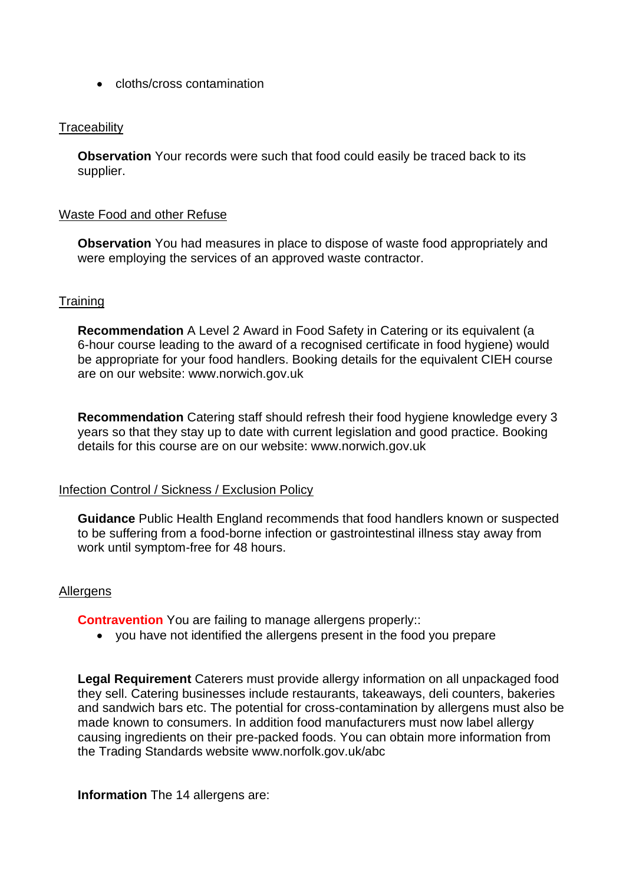• cloths/cross contamination

### **Traceability**

**Observation** Your records were such that food could easily be traced back to its supplier.

#### Waste Food and other Refuse

 **Observation** You had measures in place to dispose of waste food appropriately and were employing the services of an approved waste contractor.

# **Training**

**Recommendation** A Level 2 Award in Food Safety in Catering or its equivalent (a 6-hour course leading to the award of a recognised certificate in food hygiene) would be appropriate for your food handlers. Booking details for the equivalent CIEH course are on our website:<www.norwich.gov.uk>

**Recommendation** Catering staff should refresh their food hygiene knowledge every 3 years so that they stay up to date with current legislation and good practice. Booking details for this course are on our website:<www.norwich.gov.uk>

#### Infection Control / Sickness / Exclusion Policy

**Guidance** Public Health England recommends that food handlers known or suspected to be suffering from a food-borne infection or gastrointestinal illness stay away from work until symptom-free for 48 hours.

#### **Allergens**

**Contravention** You are failing to manage allergens properly::

• you have not identified the allergens present in the food you prepare

 **Legal Requirement** Caterers must provide allergy information on all unpackaged food they sell. Catering businesses include restaurants, takeaways, deli counters, bakeries causing ingredients on their pre-packed foods. You can obtain more information from the Trading Standards website<www.norfolk.gov.uk/abc> and sandwich bars etc. The potential for cross-contamination by allergens must also be made known to consumers. In addition food manufacturers must now label allergy

**Information** The 14 allergens are: